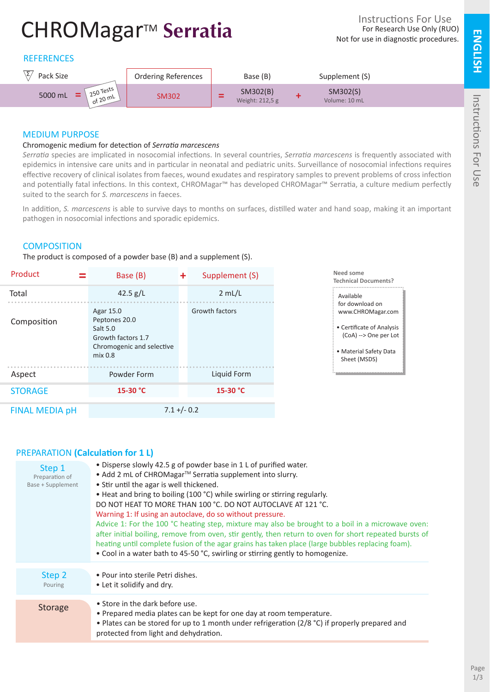# CHROMagar<sup>™</sup> Serratia

# **REFERENCES**



## MEDIUM PURPOSE

#### Chromogenic medium for detection of *Serratia marcescens*

*Serratia* species are implicated in nosocomial infections. In several countries, *Serratia marcescens* is frequently associated with epidemics in intensive care units and in particular in neonatal and pediatric units. Surveillance of nosocomial infections requires effective recovery of clinical isolates from faeces, wound exudates and respiratory samples to prevent problems of cross infection and potentially fatal infections. In this context, CHROMagar™ has developed CHROMagar™ Serratia, a culture medium perfectly suited to the search for *S. marcescens* in faeces.

In addition, *S. marcescens* is able to survive days to months on surfaces, distilled water and hand soap, making it an important pathogen in nosocomial infections and sporadic epidemics.

## **COMPOSITION**

The product is composed of a powder base (B) and a supplement (S).

| Product               | Base (B)                                                                                             | ÷              | Supplement (S) |                                                                                                                                                   | Need some<br><b>Technical Documents?</b> |
|-----------------------|------------------------------------------------------------------------------------------------------|----------------|----------------|---------------------------------------------------------------------------------------------------------------------------------------------------|------------------------------------------|
| Total                 | 42.5 $g/L$                                                                                           |                | 2 mL/L         | Available<br>for download on<br>www.CHROMagar.com<br>• Certificate of Analysis<br>(CoA) --> One per Lot<br>• Material Safety Data<br>Sheet (MSDS) |                                          |
| Composition           | Agar 15.0<br>Peptones 20.0<br>Salt 5.0<br>Growth factors 1.7<br>Chromogenic and selective<br>mix 0.8 |                | Growth factors |                                                                                                                                                   |                                          |
| Aspect                | Powder Form                                                                                          |                | Liquid Form    |                                                                                                                                                   |                                          |
| <b>STORAGE</b>        | 15-30 °C                                                                                             |                | 15-30 °C       |                                                                                                                                                   |                                          |
| <b>FINAL MEDIA pH</b> |                                                                                                      | $7.1 + (-0.2)$ |                |                                                                                                                                                   |                                          |

# PREPARATION **(Calculation for 1 L)**

| Step 1<br>Preparation of<br><b>Base + Supplement</b> | • Disperse slowly 42.5 g of powder base in 1 L of purified water.<br>• Add 2 mL of CHROMagar™ Serratia supplement into slurry.<br>• Stir until the agar is well thickened.<br>• Heat and bring to boiling (100 °C) while swirling or stirring regularly.<br>DO NOT HEAT TO MORE THAN 100 °C. DO NOT AUTOCLAVE AT 121 °C.<br>Warning 1: If using an autoclave, do so without pressure.<br>Advice 1: For the 100 °C heating step, mixture may also be brought to a boil in a microwave oven:<br>after initial boiling, remove from oven, stir gently, then return to oven for short repeated bursts of<br>heating until complete fusion of the agar grains has taken place (large bubbles replacing foam).<br>• Cool in a water bath to 45-50 °C, swirling or stirring gently to homogenize. |
|------------------------------------------------------|--------------------------------------------------------------------------------------------------------------------------------------------------------------------------------------------------------------------------------------------------------------------------------------------------------------------------------------------------------------------------------------------------------------------------------------------------------------------------------------------------------------------------------------------------------------------------------------------------------------------------------------------------------------------------------------------------------------------------------------------------------------------------------------------|
| Step 2<br>Pouring                                    | • Pour into sterile Petri dishes.<br>• Let it solidify and dry.                                                                                                                                                                                                                                                                                                                                                                                                                                                                                                                                                                                                                                                                                                                            |
| <b>Storage</b>                                       | • Store in the dark before use.<br>• Prepared media plates can be kept for one day at room temperature.<br>• Plates can be stored for up to 1 month under refrigeration (2/8 °C) if properly prepared and<br>protected from light and dehydration.                                                                                                                                                                                                                                                                                                                                                                                                                                                                                                                                         |

Instructions For Use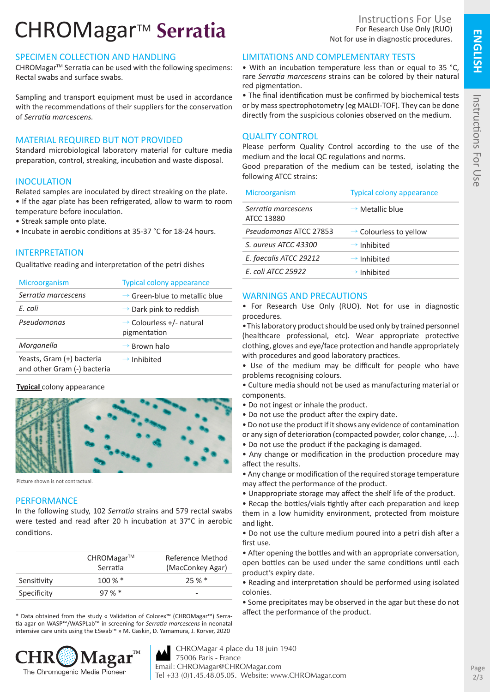# CHROMagar<sup>™</sup> Serratia

# SPECIMEN COLLECTION AND HANDLING

CHROMagar<sup>™</sup> Serratia can be used with the following specimens: Rectal swabs and surface swabs.

Sampling and transport equipment must be used in accordance with the recommendations of their suppliers for the conservation of *Serratia marcescens.*

## MATERIAL REQUIRED BUT NOT PROVIDED

Standard microbiological laboratory material for culture media preparation, control, streaking, incubation and waste disposal.

## INOCULATION

Related samples are inoculated by direct streaking on the plate. • If the agar plate has been refrigerated, allow to warm to room temperature before inoculation.

- Streak sample onto plate.
- Incubate in aerobic conditions at 35-37 °C for 18-24 hours.

# INTERPRETATION

Qualitative reading and interpretation of the petri dishes

| Microorganism                                            | <b>Typical colony appearance</b>                     |
|----------------------------------------------------------|------------------------------------------------------|
| Serratia marcescens                                      | $\rightarrow$ Green-blue to metallic blue            |
| F. coli                                                  | $\rightarrow$ Dark pink to reddish                   |
| Pseudomonas                                              | $\rightarrow$ Colourless +/- natural<br>pigmentation |
| Morganella                                               | $\rightarrow$ Brown halo                             |
| Yeasts, Gram (+) bacteria<br>and other Gram (-) bacteria | $\rightarrow$ Inhibited                              |

#### **Typical** colony appearance



Picture shown is not contractual.

#### **PERFORMANCE**

In the following study, 102 *Serratia* strains and 579 rectal swabs were tested and read after 20 h incubation at 37°C in aerobic conditions.

|             | $CHROMagar^{TM}$<br>Serratia | Reference Method<br>(MacConkey Agar) |
|-------------|------------------------------|--------------------------------------|
| Sensitivity | $100\%$ *                    | 25%                                  |
| Specificity | 97%                          |                                      |

\* Data obtained from the study « Validation of Colorex™ (CHROMagar™) Serratia agar on WASP™/WASPLab™ in screening for *Serratia marcescens* in neonatal intensive care units using the ESwab™ » M. Gaskin, D. Yamamura, J. Korver, 2020



Instructions For Use For Research Use Only (RUO) Not for use in diagnostic procedures.

## LIMITATIONS AND COMPLEMENTARY TESTS

• With an incubation temperature less than or equal to 35 °C, rare *Serratia marcescens* strains can be colored by their natural red pigmentation.

• The final identification must be confirmed by biochemical tests or by mass spectrophotometry (eg MALDI-TOF). They can be done directly from the suspicious colonies observed on the medium.

# QUALITY CONTROL

Please perform Quality Control according to the use of the medium and the local QC regulations and norms.

Good preparation of the medium can be tested, isolating the following ATCC strains:

| <b>Microorganism</b>              | <b>Typical colony appearance</b>   |
|-----------------------------------|------------------------------------|
| Serratia marcescens<br>ATCC 13880 | $\rightarrow$ Metallic blue        |
| Pseudomonas ATCC 27853            | $\rightarrow$ Colourless to yellow |
| S. aureus ATCC 43300              | $\rightarrow$ Inhibited            |
| E. faecalis ATCC 29212            | $\rightarrow$ Inhibited            |
| E. coli ATCC 25922                | $\rightarrow$ Inhibited            |
|                                   |                                    |

## WARNINGS AND PRECAUTIONS

• For Research Use Only (RUO). Not for use in diagnostic procedures.

•This laboratory product should be used only by trained personnel (healthcare professional, etc). Wear appropriate protective clothing, gloves and eye/face protection and handle appropriately with procedures and good laboratory practices.

• Use of the medium may be difficult for people who have problems recognising colours.

• Culture media should not be used as manufacturing material or components.

- Do not ingest or inhale the product.
- Do not use the product after the expiry date.

• Do not use the product if it shows any evidence of contamination or any sign of deterioration (compacted powder, color change, ...).

• Do not use the product if the packaging is damaged.

• Any change or modification in the production procedure may affect the results.

• Any change or modification of the required storage temperature may affect the performance of the product.

• Unappropriate storage may affect the shelf life of the product.

• Recap the bottles/vials tightly after each preparation and keep them in a low humidity environment, protected from moisture and light.

• Do not use the culture medium poured into a petri dish after a first use.

• After opening the bottles and with an appropriate conversation, open bottles can be used under the same conditions until each product's expiry date.

• Reading and interpretation should be performed using isolated colonies.

• Some precipitates may be observed in the agar but these do not affect the performance of the product.

**TM** CHROMagar 4 place du 18 juin 1940 75006 Paris - France Email: CHROMagar@CHROMagar.com Tel +33 (0)1.45.48.05.05. Website: www.CHROMagar.com Instructions For Use